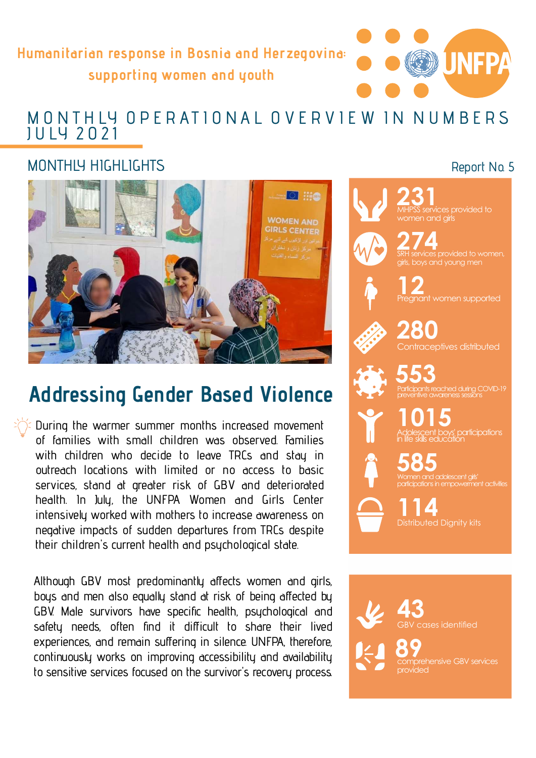Humanitarian response in Bosnia and Herzegovina: supporting women and youth

# umanitarian response in Bosnia and Herzegovina:<br>supporting women and youth<br>MONTHLY OPERATIONAL OVERVIEW IN NUMBERS<br>JULY 2021 MONTHLY OPERATIONAL OVERVIEW IN NUMBERS<br>JULY 2021

### MONTHIY HIGHLIGHTS



## Addressing Gender Based Violence

During the warmer summer months increased movement . their children's current health and psychological state of families with small children was observed. Families with children who decide to leave TRCs and stay in outreach locations with limited or no access to basic services, stand at greater risk of GBV and deteriorated health. In July, the UNFPA Women and Girls Center intensively worked with mothers to increase awareness on negative impacts of sudden departures from TRCs despite

Although GBV most predominantly affects women and girls, boys and men also equally stand at risk of being affected by GBV. Male survivors have specific health, psychological and safety needs, often find it difficult to share their lived experiences, and remain suffering in silence. UNFPA, therefore, continuously works on improving accessibility and availability to sensitive services focused on the survivor's recovery process.

### Report No. 5



 $231$ ervices provided to men and girls

274 SRH services provided to women, girls, boys and young men



12 nant women supported



280 Contraceptives distributed

553 ached during COVID-19

1015 Adolescent boys' participations in life skills education

585 Women and adolescent girls' participations in empowerment activities

114 Distributed Dignity kits

43 cases identified

89<br>emprehensive CBV seriess .<br>prehensive GBV services provided and the contract of the contract of the contract of the contract of the contract of the contract of the contract of the contract of the contract of the contract of the contract of the contract of the contract of t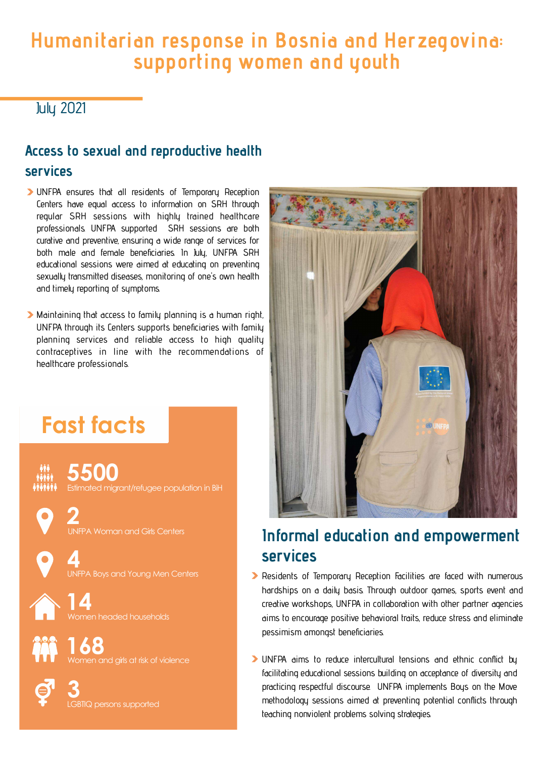## Humanitarian response in Bosnia and Herzegovina: supporting women and youth

July 2021

## Access to sexual and reproductive health services

- UNFPA ensures that all residents of Temporary Reception Centers have equal access to information on SRH through regular SRH sessions with highly trained healthcare professionals. UNFPA supported SRH sessions are both curative and preventive, ensuring a wide range of services for both male and female beneficiaries. In July, UNFPA SRH educational sessions were aimed at educating on preventing sexually transmitted diseases, monitoring of one's own health and timely reporting of symptoms.
- Maintaining that access to family planning is a human right, UNFPA through its Centers supports beneficiaries with family planning services and reliable access to high quality contraceptives in line with the recommendations of healthcare professionals.

## Fast facts

5500 Estimated migrant/refugee population in BiH

2 UNFPA Woman and Girls Centers

**4**<br>UNFPA Boys and Young Men Centers **1998 SEE** 

and the creative creative creative creative creative creative creative creative creative creative creative creative creative creative creative creative creative creative creative creative creative creative creative creativ

The comment of the strength of the strength of the strength of the strength of the strength of the strength of the strength of the strength of the strength of the strength of the strength of the strength of the strength of





## Informal education and empowerment services

- **>** Residents of Temporary Reception Facilities are faced with numerous hardships on a daily basis. Through outdoor games, sports event and creative workshops, UNFPA in collaboration with other partner agencies aims to encourage positive behavioral traits, reduce stress and eliminate pessimism amongst beneficiaries.
- and the predicing respectful discontinue of the predicing respectful discontinue of the predicing respectful discontinue of the predicing respectful discontinue of the predicing respectful discontinue of the predicing resp UNFPA aims to reduce intercultural tensions and ethnic conflict by facilitating educational sessions building on acceptance of diversity and practicing respectful discourse. UNFPA implements Boys on the Move methodology sessions aimed at preventing potential conflicts through teaching nonviolent problems solving strategies.